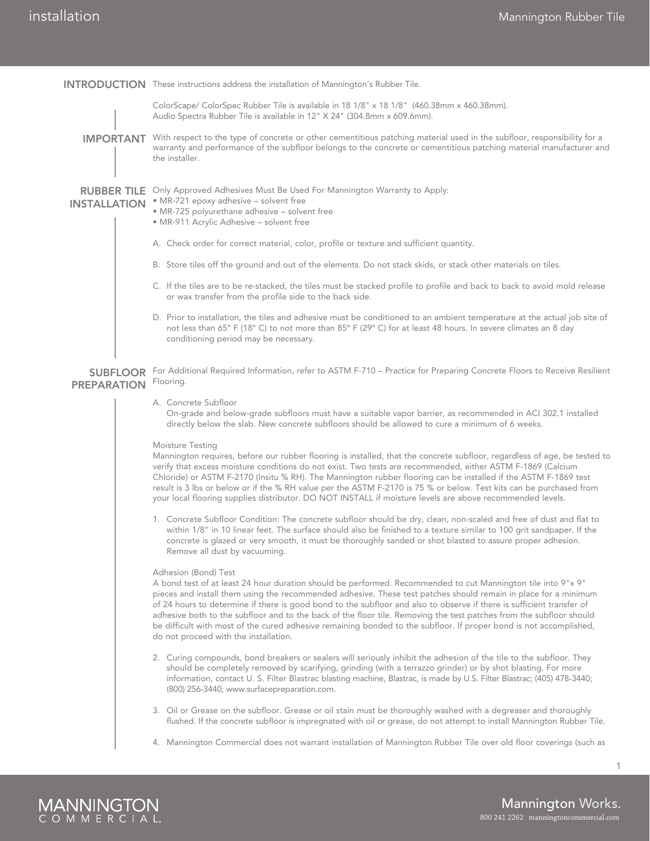|                                           | <b>INTRODUCTION</b> These instructions address the installation of Mannington's Rubber Tile.                                                                                                                                                                                                                                                                                                                                                                                                                                                                                                                                                                           |  |  |
|-------------------------------------------|------------------------------------------------------------------------------------------------------------------------------------------------------------------------------------------------------------------------------------------------------------------------------------------------------------------------------------------------------------------------------------------------------------------------------------------------------------------------------------------------------------------------------------------------------------------------------------------------------------------------------------------------------------------------|--|--|
|                                           | ColorScape/ ColorSpec Rubber Tile is available in 18 1/8" x 18 1/8" (460.38mm x 460.38mm).<br>Audio Spectra Rubber Tile is available in 12" X 24" (304.8mm x 609.6mm).                                                                                                                                                                                                                                                                                                                                                                                                                                                                                                 |  |  |
| <b>IMPORTANT</b>                          | With respect to the type of concrete or other cementitious patching material used in the subfloor, responsibility for a<br>warranty and performance of the subfloor belongs to the concrete or cementitious patching material manufacturer and<br>the installer.                                                                                                                                                                                                                                                                                                                                                                                                       |  |  |
| <b>RUBBER TILE</b><br><b>INSTALLATION</b> | Only Approved Adhesives Must Be Used For Mannington Warranty to Apply:<br>· MR-721 epoxy adhesive - solvent free<br>· MR-725 polyurethane adhesive - solvent free<br>· MR-911 Acrylic Adhesive - solvent free                                                                                                                                                                                                                                                                                                                                                                                                                                                          |  |  |
|                                           | A. Check order for correct material, color, profile or texture and sufficient quantity.                                                                                                                                                                                                                                                                                                                                                                                                                                                                                                                                                                                |  |  |
|                                           | B. Store tiles off the ground and out of the elements. Do not stack skids, or stack other materials on tiles.                                                                                                                                                                                                                                                                                                                                                                                                                                                                                                                                                          |  |  |
|                                           | C. If the tiles are to be re-stacked, the tiles must be stacked profile to profile and back to back to avoid mold release<br>or wax transfer from the profile side to the back side.                                                                                                                                                                                                                                                                                                                                                                                                                                                                                   |  |  |
|                                           | D. Prior to installation, the tiles and adhesive must be conditioned to an ambient temperature at the actual job site of<br>not less than 65° F (18° C) to not more than 85° F (29° C) for at least 48 hours. In severe climates an 8 day<br>conditioning period may be necessary.                                                                                                                                                                                                                                                                                                                                                                                     |  |  |
| <b>SUBFLOOR</b><br><b>PREPARATION</b>     | For Additional Required Information, refer to ASTM F-710 - Practice for Preparing Concrete Floors to Receive Resilient<br>Flooring.                                                                                                                                                                                                                                                                                                                                                                                                                                                                                                                                    |  |  |
|                                           | A. Concrete Subfloor<br>On-grade and below-grade subfloors must have a suitable vapor barrier, as recommended in ACI 302.1 installed<br>directly below the slab. New concrete subfloors should be allowed to cure a minimum of 6 weeks.                                                                                                                                                                                                                                                                                                                                                                                                                                |  |  |
|                                           | Moisture Testing<br>Mannington requires, before our rubber flooring is installed, that the concrete subfloor, regardless of age, be tested to<br>verify that excess moisture conditions do not exist. Two tests are recommended, either ASTM F-1869 (Calcium<br>Chloride) or ASTM F-2170 (Insitu % RH). The Mannington rubber flooring can be installed if the ASTM F-1869 test<br>result is 3 lbs or below or if the % RH value per the ASTM F-2170 is 75 % or below. Test kits can be purchased from<br>your local flooring supplies distributor. DO NOT INSTALL if moisture levels are above recommended levels.                                                    |  |  |
|                                           | 1. Concrete Subfloor Condition: The concrete subfloor should be dry, clean, non-scaled and free of dust and flat to<br>within 1/8" in 10 linear feet. The surface should also be finished to a texture similar to 100 grit sandpaper. If the<br>concrete is glazed or very smooth, it must be thoroughly sanded or shot blasted to assure proper adhesion.<br>Remove all dust by vacuuming.                                                                                                                                                                                                                                                                            |  |  |
|                                           | Adhesion (Bond) Test<br>A bond test of at least 24 hour duration should be performed. Recommended to cut Mannington tile into 9"x 9"<br>pieces and install them using the recommended adhesive. These test patches should remain in place for a minimum<br>of 24 hours to determine if there is good bond to the subfloor and also to observe if there is sufficient transfer of<br>adhesive both to the subfloor and to the back of the floor tile. Removing the test patches from the subfloor should<br>be difficult with most of the cured adhesive remaining bonded to the subfloor. If proper bond is not accomplished,<br>do not proceed with the installation. |  |  |
|                                           | 2. Curing compounds, bond breakers or sealers will seriously inhibit the adhesion of the tile to the subfloor. They<br>should be completely removed by scarifying, grinding (with a terrazzo grinder) or by shot blasting. For more<br>information, contact U.S. Filter Blastrac blasting machine, Blastrac, is made by U.S. Filter Blastrac; (405) 478-3440;<br>(800) 256-3440; www.surfacepreparation.com.                                                                                                                                                                                                                                                           |  |  |
|                                           | 3. Oil or Grease on the subfloor. Grease or oil stain must be thoroughly washed with a degreaser and thoroughly<br>flushed. If the concrete subfloor is impregnated with oil or grease, do not attempt to install Mannington Rubber Tile.                                                                                                                                                                                                                                                                                                                                                                                                                              |  |  |
|                                           | 4. Mannington Commercial does not warrant installation of Mannington Rubber Tile over old floor coverings (such as                                                                                                                                                                                                                                                                                                                                                                                                                                                                                                                                                     |  |  |



1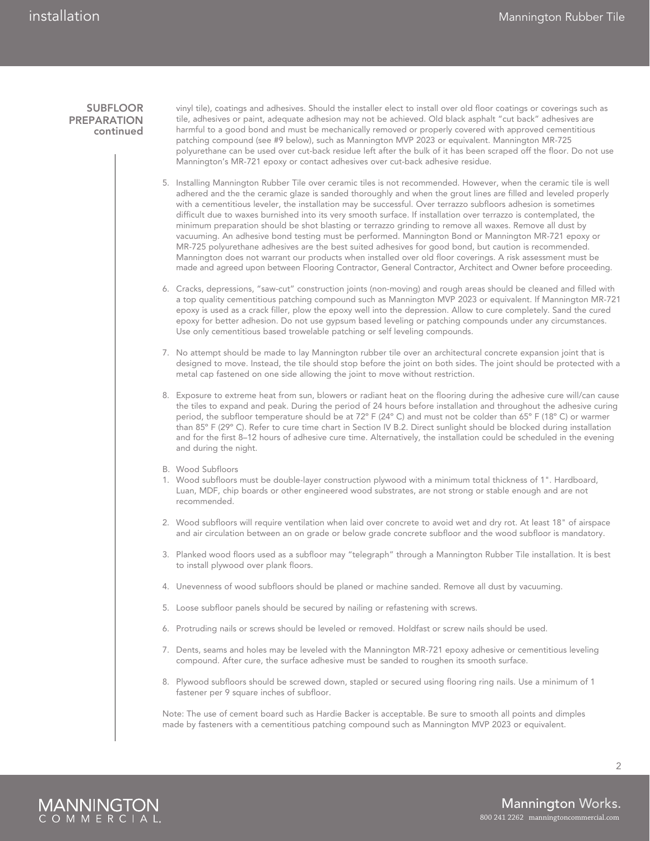## **SUBFLOOR PREPARATION** continued

vinyl tile), coatings and adhesives. Should the installer elect to install over old floor coatings or coverings such as tile, adhesives or paint, adequate adhesion may not be achieved. Old black asphalt "cut back" adhesives are harmful to a good bond and must be mechanically removed or properly covered with approved cementitious patching compound (see #9 below), such as Mannington MVP 2023 or equivalent. Mannington MR-725 polyurethane can be used over cut-back residue left after the bulk of it has been scraped off the floor. Do not use Mannington's MR-721 epoxy or contact adhesives over cut-back adhesive residue.

- 5. Installing Mannington Rubber Tile over ceramic tiles is not recommended. However, when the ceramic tile is well adhered and the the ceramic glaze is sanded thoroughly and when the grout lines are filled and leveled properly with a cementitious leveler, the installation may be successful. Over terrazzo subfloors adhesion is sometimes difficult due to waxes burnished into its very smooth surface. If installation over terrazzo is contemplated, the minimum preparation should be shot blasting or terrazzo grinding to remove all waxes. Remove all dust by vacuuming. An adhesive bond testing must be performed. Mannington Bond or Mannington MR-721 epoxy or MR-725 polyurethane adhesives are the best suited adhesives for good bond, but caution is recommended. Mannington does not warrant our products when installed over old floor coverings. A risk assessment must be made and agreed upon between Flooring Contractor, General Contractor, Architect and Owner before proceeding.
- 6. Cracks, depressions, "saw-cut" construction joints (non-moving) and rough areas should be cleaned and filled with a top quality cementitious patching compound such as Mannington MVP 2023 or equivalent. If Mannington MR-721 epoxy is used as a crack filler, plow the epoxy well into the depression. Allow to cure completely. Sand the cured epoxy for better adhesion. Do not use gypsum based leveling or patching compounds under any circumstances. Use only cementitious based trowelable patching or self leveling compounds.
- 7. No attempt should be made to lay Mannington rubber tile over an architectural concrete expansion joint that is designed to move. Instead, the tile should stop before the joint on both sides. The joint should be protected with a metal cap fastened on one side allowing the joint to move without restriction.
- 8. Exposure to extreme heat from sun, blowers or radiant heat on the flooring during the adhesive cure will/can cause the tiles to expand and peak. During the period of 24 hours before installation and throughout the adhesive curing period, the subfloor temperature should be at 72º F (24º C) and must not be colder than 65º F (18º C) or warmer than 85º F (29º C). Refer to cure time chart in Section IV B.2. Direct sunlight should be blocked during installation and for the first 8–12 hours of adhesive cure time. Alternatively, the installation could be scheduled in the evening and during the night.
- B. Wood Subfloors
- 1. Wood subfloors must be double-layer construction plywood with a minimum total thickness of 1". Hardboard, Luan, MDF, chip boards or other engineered wood substrates, are not strong or stable enough and are not recommended.
- 2. Wood subfloors will require ventilation when laid over concrete to avoid wet and dry rot. At least 18" of airspace and air circulation between an on grade or below grade concrete subfloor and the wood subfloor is mandatory.
- 3. Planked wood floors used as a subfloor may "telegraph" through a Mannington Rubber Tile installation. It is best to install plywood over plank floors.
- 4. Unevenness of wood subfloors should be planed or machine sanded. Remove all dust by vacuuming.
- 5. Loose subfloor panels should be secured by nailing or refastening with screws.
- 6. Protruding nails or screws should be leveled or removed. Holdfast or screw nails should be used.
- 7. Dents, seams and holes may be leveled with the Mannington MR-721 epoxy adhesive or cementitious leveling compound. After cure, the surface adhesive must be sanded to roughen its smooth surface.
- 8. Plywood subfloors should be screwed down, stapled or secured using flooring ring nails. Use a minimum of 1 fastener per 9 square inches of subfloor.

Note: The use of cement board such as Hardie Backer is acceptable. Be sure to smooth all points and dimples made by fasteners with a cementitious patching compound such as Mannington MVP 2023 or equivalent.



 $\mathfrak{D}$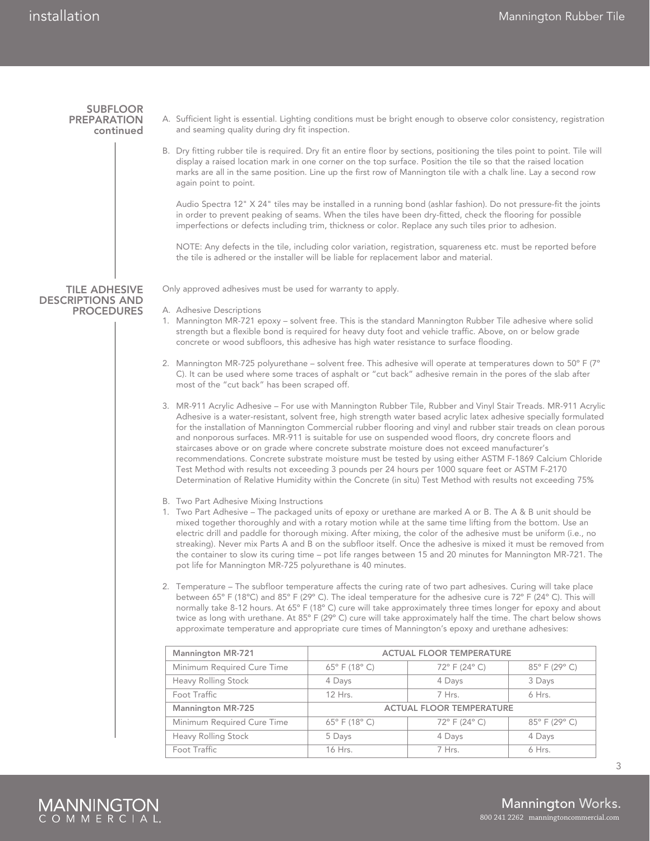**SUBFLOOR PREPARATION** continued

Tile adhesive descriptions and **PROCEDURES** 

- A. Sufficient light is essential. Lighting conditions must be bright enough to observe color consistency, registration and seaming quality during dry fit inspection.
- B. Dry fitting rubber tile is required. Dry fit an entire floor by sections, positioning the tiles point to point. Tile will display a raised location mark in one corner on the top surface. Position the tile so that the raised location marks are all in the same position. Line up the first row of Mannington tile with a chalk line. Lay a second row again point to point.

Audio Spectra 12" X 24" tiles may be installed in a running bond (ashlar fashion). Do not pressure-fit the joints in order to prevent peaking of seams. When the tiles have been dry-fitted, check the flooring for possible imperfections or defects including trim, thickness or color. Replace any such tiles prior to adhesion.

NOTE: Any defects in the tile, including color variation, registration, squareness etc. must be reported before the tile is adhered or the installer will be liable for replacement labor and material.

Only approved adhesives must be used for warranty to apply.

A. Adhesive Descriptions

- 1. Mannington MR-721 epoxy solvent free. This is the standard Mannington Rubber Tile adhesive where solid strength but a flexible bond is required for heavy duty foot and vehicle traffic. Above, on or below grade concrete or wood subfloors, this adhesive has high water resistance to surface flooding.
- 2. Mannington MR-725 polyurethane solvent free. This adhesive will operate at temperatures down to 50° F (7° C). It can be used where some traces of asphalt or "cut back" adhesive remain in the pores of the slab after most of the "cut back" has been scraped off.
- 3. MR-911 Acrylic Adhesive For use with Mannington Rubber Tile, Rubber and Vinyl Stair Treads. MR-911 Acrylic Adhesive is a water-resistant, solvent free, high strength water based acrylic latex adhesive specially formulated for the installation of Mannington Commercial rubber flooring and vinyl and rubber stair treads on clean porous and nonporous surfaces. MR-911 is suitable for use on suspended wood floors, dry concrete floors and staircases above or on grade where concrete substrate moisture does not exceed manufacturer's recommendations. Concrete substrate moisture must be tested by using either ASTM F-1869 Calcium Chloride Test Method with results not exceeding 3 pounds per 24 hours per 1000 square feet or ASTM F-2170 Determination of Relative Humidity within the Concrete (in situ) Test Method with results not exceeding 75%
- B. Two Part Adhesive Mixing Instructions
- 1. Two Part Adhesive The packaged units of epoxy or urethane are marked A or B. The A & B unit should be mixed together thoroughly and with a rotary motion while at the same time lifting from the bottom. Use an electric drill and paddle for thorough mixing. After mixing, the color of the adhesive must be uniform (i.e., no streaking). Never mix Parts A and B on the subfloor itself. Once the adhesive is mixed it must be removed from the container to slow its curing time – pot life ranges between 15 and 20 minutes for Mannington MR-721. The pot life for Mannington MR-725 polyurethane is 40 minutes.
- 2. Temperature The subfloor temperature affects the curing rate of two part adhesives. Curing will take place between 65º F (18ºC) and 85º F (29º C). The ideal temperature for the adhesive cure is 72º F (24º C). This will normally take 8-12 hours. At 65º F (18º C) cure will take approximately three times longer for epoxy and about twice as long with urethane. At 85º F (29º C) cure will take approximately half the time. The chart below shows approximate temperature and appropriate cure times of Mannington's epoxy and urethane adhesives:

| Mannington MR-721          | <b>ACTUAL FLOOR TEMPERATURE</b>  |               |               |
|----------------------------|----------------------------------|---------------|---------------|
| Minimum Required Cure Time | $65^{\circ}$ F (18 $^{\circ}$ C) | 72° F (24° C) | 85° F (29° C) |
| Heavy Rolling Stock        | 4 Days                           | 4 Days        | 3 Days        |
| Foot Traffic               | 12 Hrs.                          | 7 Hrs.        | 6 Hrs.        |
| Mannington MR-725          | <b>ACTUAL FLOOR TEMPERATURE</b>  |               |               |
| Minimum Required Cure Time | $65^{\circ}$ F (18 $^{\circ}$ C) | 72° F (24° C) | 85° F (29° C) |
| Heavy Rolling Stock        | 5 Days                           | 4 Days        | 4 Days        |
| Foot Traffic               | 16 Hrs.                          | 7 Hrs.        | $6$ Hrs.      |



3